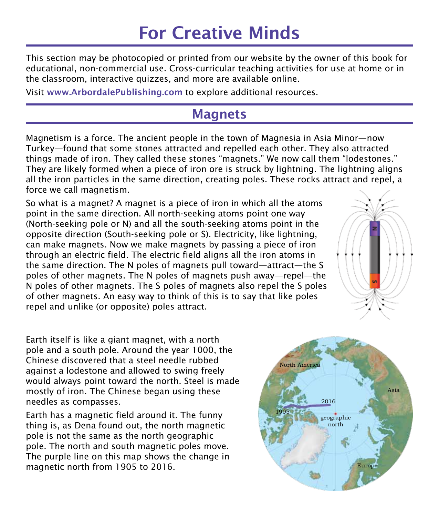# For Creative Minds

This section may be photocopied or printed from our website by the owner of this book for educational, non-commercial use. Cross-curricular teaching activities for use at home or in the classroom, interactive quizzes, and more are available online.

Visit www.ArbordalePublishing.com to explore additional resources.

### **Magnets**

Magnetism is a force. The ancient people in the town of Magnesia in Asia Minor—now Turkey—found that some stones attracted and repelled each other. They also attracted things made of iron. They called these stones "magnets." We now call them "lodestones." They are likely formed when a piece of iron ore is struck by lightning. The lightning aligns all the iron particles in the same direction, creating poles. These rocks attract and repel, a force we call magnetism.

So what is a magnet? A magnet is a piece of iron in which all the atoms point in the same direction. All north-seeking atoms point one way (North-seeking pole or N) and all the south-seeking atoms point in the opposite direction (South-seeking pole or S). Electricity, like lightning, can make magnets. Now we make magnets by passing a piece of iron through an electric field. The electric field aligns all the iron atoms in the same direction. The N poles of magnets pull toward—attract—the S poles of other magnets. The N poles of magnets push away—repel—the N poles of other magnets. The S poles of magnets also repel the S poles of other magnets. An easy way to think of this is to say that like poles repel and unlike (or opposite) poles attract.

Earth itself is like a giant magnet, with a north pole and a south pole. Around the year 1000, the Chinese discovered that a steel needle rubbed against a lodestone and allowed to swing freely would always point toward the north. Steel is made mostly of iron. The Chinese began using these needles as compasses.

Earth has a magnetic field around it. The funny thing is, as Dena found out, the north magnetic pole is not the same as the north geographic pole. The north and south magnetic poles move. The purple line on this map shows the change in magnetic north from 1905 to 2016.

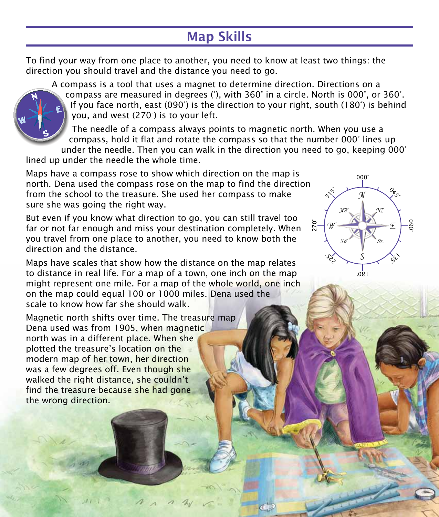## Map Skills

To find your way from one place to another, you need to know at least two things: the direction you should travel and the distance you need to go.

A compass is a tool that uses a magnet to determine direction. Directions on a compass are measured in degrees (°), with 360° in a circle. North is 000°, or 360°. If you face north, east (090°) is the direction to your right, south (180°) is behind you, and west (270°) is to your left.

The needle of a compass always points to magnetic north. When you use a compass, hold it flat and rotate the compass so that the number 000° lines up under the needle. Then you can walk in the direction you need to go, keeping 000°

lined up under the needle the whole time.

Maps have a compass rose to show which direction on the map is north. Dena used the compass rose on the map to find the direction from the school to the treasure. She used her compass to make sure she was going the right way.

But even if you know what direction to go, you can still travel too far or not far enough and miss your destination completely. When you travel from one place to another, you need to know both the direction and the distance.

Maps have scales that show how the distance on the map relates to distance in real life. For a map of a town, one inch on the map might represent one mile. For a map of the whole world, one inch on the map could equal 100 or 1000 miles. Dena used the scale to know how far she should walk.

Magnetic north shifts over time. The treasure map Dena used was from 1905, when magnetic north was in a different place. When she plotted the treasure's location on the modern map of her town, her direction was a few degrees off. Even though she walked the right distance, she couldn't find the treasure because she had gone the wrong direction.

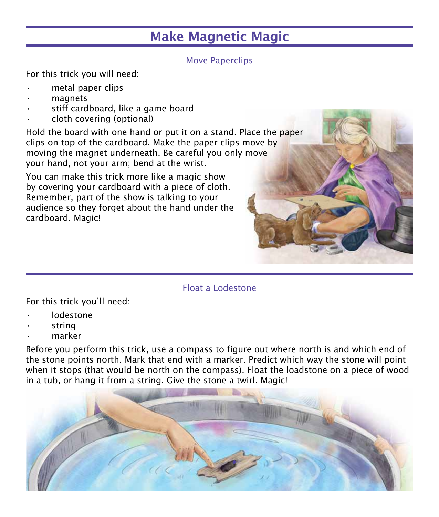# Make Magnetic Magic

#### Move Paperclips

For this trick you will need:

- metal paper clips
- magnets
- stiff cardboard, like a game board
- cloth covering (optional)

Hold the board with one hand or put it on a stand. Place the paper clips on top of the cardboard. Make the paper clips move by moving the magnet underneath. Be careful you only move your hand, not your arm; bend at the wrist.

You can make this trick more like a magic show by covering your cardboard with a piece of cloth. Remember, part of the show is talking to your audience so they forget about the hand under the cardboard. Magic!

#### Float a Lodestone

For this trick you'll need:

- lodestone
- string
- marker

Before you perform this trick, use a compass to figure out where north is and which end of the stone points north. Mark that end with a marker. Predict which way the stone will point when it stops (that would be north on the compass). Float the loadstone on a piece of wood in a tub, or hang it from a string. Give the stone a twirl. Magic!